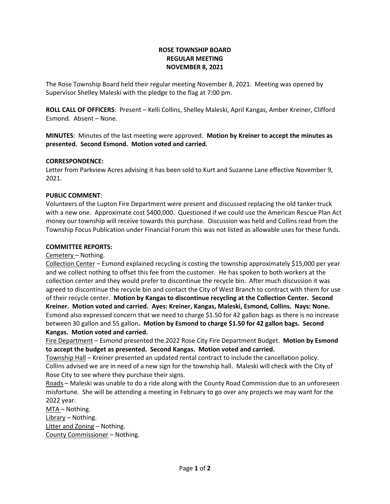# **ROSE TOWNSHIP BOARD REGULAR MEETING NOVEMBER 8, 2021**

The Rose Township Board held their regular meeting November 8, 2021. Meeting was opened by Supervisor Shelley Maleski with the pledge to the flag at 7:00 pm.

**ROLL CALL OF OFFICERS**: Present – Kelli Collins, Shelley Maleski, April Kangas, Amber Kreiner, Clifford Esmond. Absent – None.

**MINUTES**: Minutes of the last meeting were approved. **Motion by Kreiner to accept the minutes as presented. Second Esmond. Motion voted and carried.**

### **CORRESPONDENCE:**

Letter from Parkview Acres advising it has been sold to Kurt and Suzanne Lane effective November 9, 2021.

#### **PUBLIC COMMENT**:

Volunteers of the Lupton Fire Department were present and discussed replacing the old tanker truck with a new one. Approximate cost \$400,000. Questioned if we could use the American Rescue Plan Act money our township will receive towards this purchase. Discussion was held and Collins read from the Township Focus Publication under Financial Forum this was not listed as allowable uses for these funds.

#### **COMMITTEE REPORTS:**

Cemetery – Nothing.

Collection Center – Esmond explained recycling is costing the township approximately \$15,000 per year and we collect nothing to offset this fee from the customer. He has spoken to both workers at the collection center and they would prefer to discontinue the recycle bin. After much discussion it was agreed to discontinue the recycle bin and contact the City of West Branch to contract with them for use of their recycle center. **Motion by Kangas to discontinue recycling at the Collection Center. Second Kreiner. Motion voted and carried. Ayes: Kreiner, Kangas, Maleski, Esmond, Collins. Nays: None.** Esmond also expressed concern that we need to charge \$1.50 for 42 gallon bags as there is no increase between 30 gallon and 55 gallon**. Motion by Esmond to charge \$1.50 for 42 gallon bags. Second Kangas. Motion voted and carried.**

Fire Department – Esmond presented the 2022 Rose City Fire Department Budget. **Motion by Esmond to accept the budget as presented. Second Kangas. Motion voted and carried.**

Township Hall – Kreiner presented an updated rental contract to include the cancellation policy. Collins advised we are in need of a new sign for the township hall. Maleski will check with the City of Rose City to see where they purchase their signs.

Roads – Maleski was unable to do a ride along with the County Road Commission due to an unforeseen misfortune. She will be attending a meeting in February to go over any projects we may want for the 2022 year.

MTA – Nothing. Library – Nothing. Litter and Zoning – Nothing. County Commissioner – Nothing.